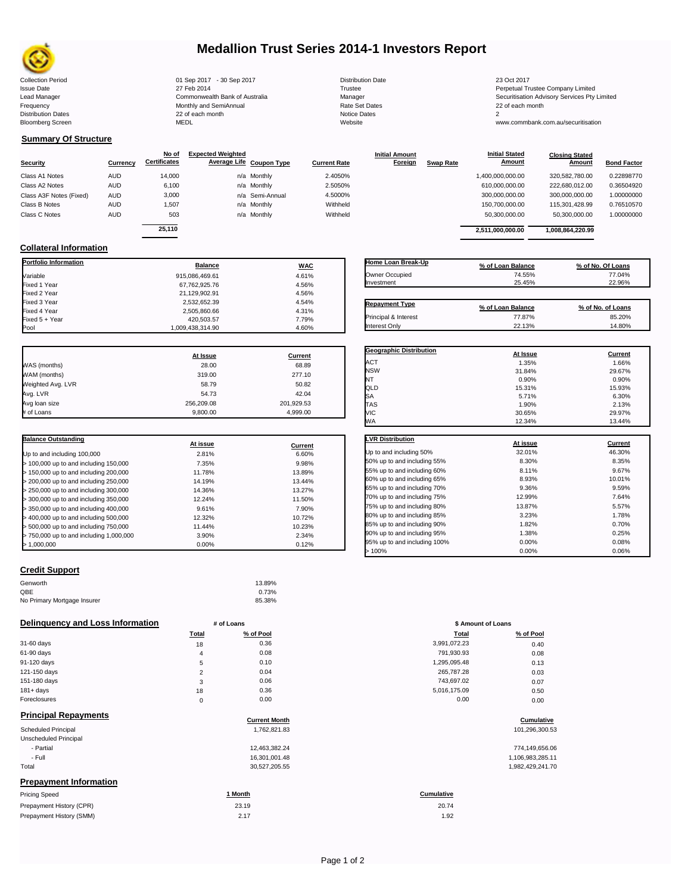

# **Medallion Trust Series 2014-1 Investors Report**

Collection Period 23 Oct 2017 - 30 Sep 2017 - 30 Sep 2017 2017 2017 Distribution Date 23 Oct 2017 Issue Date 2014 27 Feb 2014 27 Feb 2014<br>1999 - Perpetual Trustee Company Limited 2015<br>20 Apple 2015 - Commonwealth Bank of Australia 2016 - Manager Manager 2016 - Securitisation Advisory Services Frequency Communication Communication Monthly and SemiAnnual Communication Communication Communication Communication Communication Communication Communication Communication Communication Communication Communication Communi n and the continuum continuum continuum continuum continuum continuum continuum continuum continuum continuum c<br>
22 of each month 2<br>
MEDL Website Website Bloomberg Screen MEDL Website www.commbank.com.au/securitisation

Lead Manager **Commonwealth Bank of Australia** Manager Manager Securitisation Advisory Services Pty Limited

**Closing Stated Amount**

### **Summary Of Structure**

**Collateral Information**

|                         |            | No of               | <b>Expected Weighted</b> |                 |                     | <b>Initial Amount</b> |                  | <b>Initial Stated</b> | <b>Closing Stated</b> |                    |
|-------------------------|------------|---------------------|--------------------------|-----------------|---------------------|-----------------------|------------------|-----------------------|-----------------------|--------------------|
| <b>Security</b>         | Currency   | <b>Certificates</b> | Average Life Coupon Type |                 | <b>Current Rate</b> | <b>Foreign</b>        | <b>Swap Rate</b> | <b>Amount</b>         | Amount                | <b>Bond Factor</b> |
| Class A1 Notes          | <b>AUD</b> | 14.000              |                          | n/a Monthly     | 2.4050%             |                       |                  | 1,400,000,000.00      | 320,582,780.00        | 0.22898770         |
| Class A2 Notes          | <b>AUD</b> | 6,100               |                          | n/a Monthly     | 2.5050%             |                       |                  | 610,000,000.00        | 222.680.012.00        | 0.36504920         |
| Class A3F Notes (Fixed) | <b>AUD</b> | 3,000               |                          | n/a Semi-Annual | 4.5000%             |                       |                  | 300,000,000.00        | 300.000.000.00        | 1.00000000         |
| Class B Notes           | AUD        | 1.507               |                          | n/a Monthly     | Withheld            |                       |                  | 150,700,000.00        | 115.301.428.99        | 0.76510570         |
| Class C Notes           | <b>AUD</b> | 503                 |                          | n/a Monthly     | Withheld            |                       |                  | 50,300,000.00         | 50,300,000.00         | 1.00000000         |
|                         |            | 25.110              |                          |                 |                     |                       |                  | 2.511.000.000.00      | 1.008.864.220.99      |                    |
|                         |            |                     |                          |                 |                     |                       |                  |                       |                       |                    |

**Portfolio Information Balance WAC** Variable 915,086,469.61 4.61% Fixed 1 Year 67,762,925.76 4.56% Fixed 2 Year 21,129,902.91 4.56% Fixed 3 Year 2,532,652.39 4.54% Fixed 4 Year 2,505,860.66 4.31% Fixed 5 + Year 420,503.57 7.79%

| Home Loan Break-Up    | % of Loan Balance | % of No. Of Loans |
|-----------------------|-------------------|-------------------|
| Owner Occupied        | 74.55%            | 77.04%            |
| Investment            | 25.45%            | 22.96%            |
| <b>Repayment Type</b> | % of Loan Balance | % of No. of Loans |
| Principal & Interest  | 77.87%            | 85.20%            |
| Interest Only         | 22.13%            | 14.80%            |

**Geographic Distribution**<br> **ACT ACT ACT ACT ACT ACT ACT ACT ACT ACT ACT ACT ACT ACT ACT ACT ACT ACT ACT ACT ACT ACT ACT ACT**  $\,$  ACT  $\,$  1.35%  $\,$  1.35%  $\,$  1.66%  $\,$ NSW 31.84% 29.67% NT  $0.90\%$  0.90% 0.90% QLD 15.31% 15.93%

**Initial Stated** 

|                   | At Issue   | <b>Current</b> |
|-------------------|------------|----------------|
| WAS (months)      | 28.00      | 68.89          |
| WAM (months)      | 319.00     | 277.10         |
| Weighted Avg. LVR | 58.79      | 50.82          |
| Avg. LVR          | 54.73      | 42.04          |
| Avg loan size     | 256,209.08 | 201,929.53     |
| # of Loans        | 9,800.00   | 4,999.00       |

1,009,438,314.90

| <b>Balance Outstanding</b>              | At issue | Current |
|-----------------------------------------|----------|---------|
| Up to and including 100,000             | 2.81%    | 6.60%   |
| $>$ 100,000 up to and including 150,000 | 7.35%    | 9.98%   |
| $>$ 150,000 up to and including 200,000 | 11.78%   | 13.89%  |
| > 200,000 up to and including 250,000   | 14.19%   | 13.44%  |
| $>$ 250,000 up to and including 300,000 | 14.36%   | 13.27%  |
| $>$ 300,000 up to and including 350,000 | 12.24%   | 11.50%  |
| $>$ 350,000 up to and including 400,000 | 9.61%    | 7.90%   |
| $>$ 400,000 up to and including 500,000 | 12.32%   | 10.72%  |
| > 500,000 up to and including 750,000   | 11.44%   | 10.23%  |
| > 750,000 up to and including 1,000,000 | 3.90%    | 2.34%   |
| > 1.000.000                             | 0.00%    | 0.12%   |

| Credit Support |  |
|----------------|--|
|                |  |

| Genworth                    | 13.89% |
|-----------------------------|--------|
| QBE                         | 0.73%  |
| No Primary Mortgage Insurer | 85.38% |

### **Delinquency and Loss Information # of Loans**

|              | Total    | % of Pool | Total        | % of Pool |
|--------------|----------|-----------|--------------|-----------|
| 31-60 days   | 18       | 0.36      | 3,991,072.23 | 0.40      |
| 61-90 days   | 4        | 0.08      | 791,930.93   | 0.08      |
| 91-120 days  | 5        | 0.10      | 1,295,095.48 | 0.13      |
| 121-150 days | $\sim$   | 0.04      | 265,787.28   | 0.03      |
| 151-180 days | 3        | 0.06      | 743,697.02   | 0.07      |
| $181 + days$ | 18       | 0.36      | 5,016,175.09 | 0.50      |
| Foreclosures | $\Omega$ | 0.00      | 0.00         | 0.00      |
|              |          |           |              |           |

| <b>Principal Repayments</b>   | <b>Current Month</b> | Cumulative        |
|-------------------------------|----------------------|-------------------|
| Scheduled Principal           | 1,762,821.83         | 101,296,300.53    |
| Unscheduled Principal         |                      |                   |
| - Partial                     | 12,463,382.24        | 774,149,656.06    |
| - Full                        | 16,301,001.48        | 1,106,983,285.11  |
| Total                         | 30,527,205.55        | 1,982,429,241.70  |
| <b>Prepayment Information</b> |                      |                   |
| <b>Pricing Speed</b>          | 1 Month              | <b>Cumulative</b> |

| Prepayment History (CPR) | 23.19 | 20.74 |
|--------------------------|-------|-------|
| Prepayment History (SMM) |       | 1.92  |

| SΑ                           | 5.71%    | 6.30%   |
|------------------------------|----------|---------|
| TAS                          | 1.90%    | 2.13%   |
| VIC                          | 30.65%   | 29.97%  |
| WA                           | 12.34%   | 13.44%  |
| <b>LVR Distribution</b>      |          |         |
|                              | At issue | Current |
| Up to and including 50%      | 32.01%   | 46.30%  |
| 50% up to and including 55%  | 8.30%    | 8.35%   |
| 55% up to and including 60%  | 8.11%    | 9.67%   |
| 60% up to and including 65%  | 8.93%    | 10.01%  |
| 65% up to and including 70%  | 9.36%    | 9.59%   |
| 70% up to and including 75%  | 12.99%   | 7.64%   |
| 75% up to and including 80%  | 13.87%   | 5.57%   |
| 80% up to and including 85%  | 3.23%    | 1.78%   |
| 85% up to and including 90%  | 1.82%    | 0.70%   |
| 90% up to and including 95%  | 1.38%    | 0.25%   |
| 95% up to and including 100% | 0.00%    | 0.08%   |
| >100%                        | 0.00%    | 0.06%   |

|                | # of Loans | \$ Amount of Loans |           |  |
|----------------|------------|--------------------|-----------|--|
| Total          | % of Pool  | Total              | % of Pool |  |
| 18             | 0.36       | 3,991,072.23       | 0.40      |  |
| $\overline{4}$ | 0.08       | 791,930.93         | 0.08      |  |
| 5              | 0.10       | 1,295,095.48       | 0.13      |  |
| $\overline{2}$ | 0.04       | 265,787.28         | 0.03      |  |
| 3              | 0.06       | 743,697.02         | 0.07      |  |
| 18             | 0.36       | 5,016,175.09       | 0.50      |  |
| 0              | 0.00       | 0.00               | 0.00      |  |

# **Cumulative Cumulative**

| 774.149.656.06   |
|------------------|
| 1,106,983,285.11 |
| 1,982,429,241.70 |